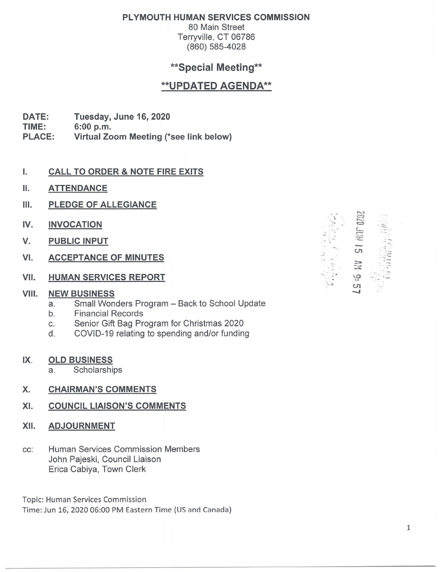### **PLYMOUTH HUMAN SERVICES COMMISSION**

80 Main Street Terryville, CT 06786 (860) 585-4028

# **\*\*Special Meeting\*\***

# **\*\*UPDATED AGENDA\*\***

**DATE: Tuesday,June16,2020** 

**TIME: 6:00 p.m.** 

**PLACE: Virtual Zoom Meeting (\*see link below)** 

#### I. **CALL TO ORDER** & **NOTE FIRE EXITS**

- II. **ATTENDANCE**
- **Ill. PLEDGE OF ALLEGIANCE**
- **IV. INVOCATION**
- **V. PUBLIC INPUT**
- **VI. ACCEPTANCE OF MINUTES**
- **VII. HUMAN SERVICES REPORT**

#### **VIII. NEW BUSINESS**

- a. Small Wonders Program Back to School Update
- b. Financial Records
- c. Senior Gift Bag Program for Christmas 2020
- d. COVID-19 relating to spending and/or funding
- **IX. OLD BUSINESS** 
	- a. Scholarships

### **X. CHAIRMAN'S COMMENTS**

#### **XI. COUNCIL LIAISON'S COMMENTS**

- **XII. ADJOURNMENT**
- cc: Human Services Commission Members John Pajeski, Council Liaison Erica Cabiya, Town Clerk

Topic: Human Services Commission Time: Jun 16, 2020 06:00 PM Eastern Time {US and Canada)

. . . .... ~,  $: \mathbb{R}^2$ -··- . -·' ·. •. **~~~**<br>~~~  $\overline{\mathbf{c}}$  ...  $\frac{1}{2}$  $\frac{1}{2}$ In<br>T  $\mathbb{L} \rightarrow \mathbb{R}$ ....  $\mathcal{D}$  $\frac{1}{2}$ ,  $\frac{1}{2}$ '-·-·fl! **U1**  \_,